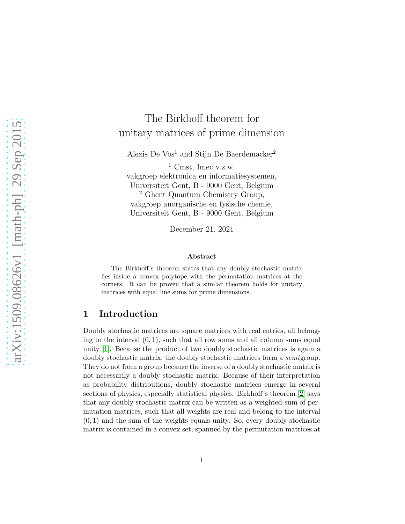# The Birkhoff theorem for unitary matrices of prime dimension

Alexis De Vos<sup>1</sup> and Stijn De Baerdemacker<sup>2</sup>

<sup>1</sup> Cmst, Imec v.z.w. vakgroep elektronica en informatiesystemen, Universiteit Gent, B - 9000 Gent, Belgium <sup>2</sup> Ghent Quantum Chemistry Group, vakgroep anorganische en fysische chemie, Universiteit Gent, B - 9000 Gent, Belgium

December 21, 2021

#### Abstract

The Birkhoff's theorem states that any doubly stochastic matrix lies inside a convex polytope with the permutation matrices at the corners. It can be proven that a similar theorem holds for unitary matrices with equal line sums for prime dimensions.

## 1 Introduction

Doubly stochastic matrices are square matrices with real entries, all belonging to the interval  $(0, 1)$ , such that all row sums and all column sums equal unity [\[1\]](#page-11-0). Because the product of two doubly stochastic matrices is again a doubly stochastic matrix, the doubly stochastic matrices form a semigroup. They do not form a group because the inverse of a doubly stochastic matrix is not necessarily a doubly stochastic matrix. Because of their interpretation as probability distributions, doubly stochastic matrices emerge in several sections of physics, especially statistical physics. Birkhoff's theorem [\[2\]](#page-11-1) says that any doubly stochastic matrix can be written as a weighted sum of permutation matrices, such that all weights are real and belong to the interval  $(0, 1)$  and the sum of the weights equals unity. So, every doubly stochastic matrix is contained in a convex set, spanned by the permutation matrices at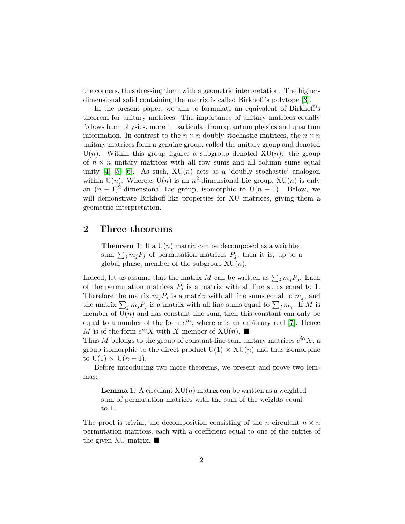the corners, thus dressing them with a geometric interpretation. The higherdimensional solid containing the matrix is called Birkhoff's polytope [\[3\]](#page-12-0).

In the present paper, we aim to formulate an equivalent of Birkhoff's theorem for unitary matrices. The importance of unitary matrices equally follows from physics, more in particular from quantum physics and quantum information. In contrast to the  $n \times n$  doubly stochastic matrices, the  $n \times n$ unitary matrices form a genuine group, called the unitary group and denoted  $U(n)$ . Within this group figures a subgroup denoted  $XU(n)$ : the group of  $n \times n$  unitary matrices with all row sums and all column sums equal unity [\[4\]](#page-12-1) [\[5\]](#page-12-2) [\[6\]](#page-12-3). As such,  $XU(n)$  acts as a 'doubly stochastic' analogon within  $U(n)$ . Whereas  $U(n)$  is an  $n^2$ -dimensional Lie group,  $XU(n)$  is only an  $(n-1)^2$ -dimensional Lie group, isomorphic to  $U(n-1)$ . Below, we will demonstrate Birkhoff-like properties for XU matrices, giving them a geometric interpretation.

#### 2 Three theorems

**Theorem 1:** If a  $U(n)$  matrix can be decomposed as a weighted sum  $\sum_j m_j P_j$  of permutation matrices  $P_j$ , then it is, up to a global phase, member of the subgroup  $XU(n)$ .

Indeed, let us assume that the matrix M can be written as  $\sum_j m_j P_j$ . Each of the permutation matrices  $P_j$  is a matrix with all line sums equal to 1. Therefore the matrix  $m_j P_j$  is a matrix with all line sums equal to  $m_j$ , and the matrix  $\sum_j m_j P_j$  is a matrix with all line sums equal to  $\sum_j m_j$ . If M is member of  $U(n)$  and has constant line sum, then this constant can only be equal to a number of the form  $e^{i\alpha}$ , where  $\alpha$  is an arbitrary real [\[7\]](#page-12-4). Hence M is of the form  $e^{i\alpha}X$  with X member of XU(n).

Thus M belongs to the group of constant-line-sum unitary matrices  $e^{i\alpha}X$ , a group isomorphic to the direct product  $U(1) \times XU(n)$  and thus isomorphic to  $U(1) \times U(n-1)$ .

Before introducing two more theorems, we present and prove two lemmas:

**Lemma 1:** A circulant  $XU(n)$  matrix can be written as a weighted sum of permutation matrices with the sum of the weights equal to 1.

The proof is trivial, the decomposition consisting of the n circulant  $n \times n$ permutation matrices, each with a coefficient equal to one of the entries of the given XU matrix.  $\blacksquare$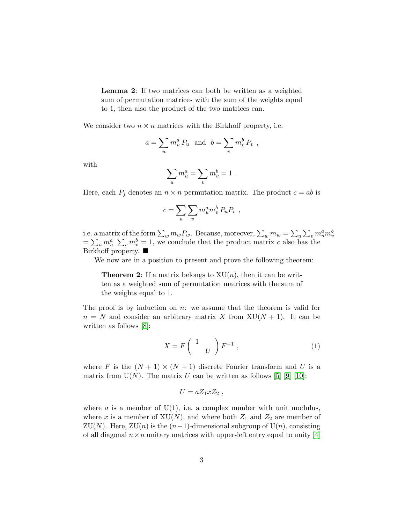Lemma 2: If two matrices can both be written as a weighted sum of permutation matrices with the sum of the weights equal to 1, then also the product of the two matrices can.

We consider two  $n \times n$  matrices with the Birkhoff property, i.e.

$$
a = \sum_u m_u^a P_u \text{ and } b = \sum_v m_v^b P_v ,
$$

with

$$
\sum_u m_u^a = \sum_v m_v^b = 1.
$$

Here, each  $P_j$  denotes an  $n \times n$  permutation matrix. The product  $c = ab$  is

$$
c=\sum_u\sum_v m_u^am_v^b\,P_uP_v\ ,
$$

i.e. a matrix of the form  $\sum_w m_w P_w$ . Because, moreover,  $\sum_w m_w = \sum_u \sum_v m_u^a m_v^b$  $=\sum_{u} m_{u}^{a} \sum_{v} m_{v}^{b} = 1$ , we conclude that the product matrix c also has the Birkhoff property. ■

We now are in a position to present and prove the following theorem:

**Theorem 2:** If a matrix belongs to  $XU(n)$ , then it can be written as a weighted sum of permutation matrices with the sum of the weights equal to 1.

The proof is by induction on  $n$ : we assume that the theorem is valid for  $n = N$  and consider an arbitrary matrix X from  $XU(N + 1)$ . It can be written as follows [\[8\]](#page-12-5):

<span id="page-2-0"></span>
$$
X = F\begin{pmatrix} 1 \\ U \end{pmatrix} F^{-1} , \qquad (1)
$$

where F is the  $(N + 1) \times (N + 1)$  discrete Fourier transform and U is a matrix from  $U(N)$ . The matrix U can be written as follows [\[5\]](#page-12-2) [\[9\]](#page-12-6) [\[10\]](#page-12-7):

$$
U = aZ_1xZ_2 ,
$$

where a is a member of  $U(1)$ , i.e. a complex number with unit modulus, where x is a member of  $XU(N)$ , and where both  $Z_1$  and  $Z_2$  are member of ZU(N). Here, ZU(n) is the  $(n-1)$ -dimensional subgroup of U(n), consisting of all diagonal  $n \times n$  unitary matrices with upper-left entry equal to unity [\[4\]](#page-12-1)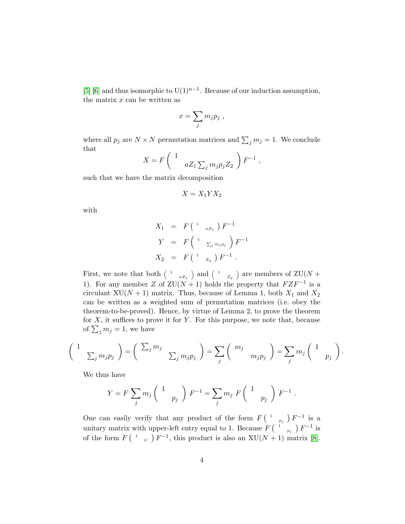[\[5\]](#page-12-2) [\[6\]](#page-12-3) and thus isomorphic to U(1)<sup>n-1</sup>. Because of our induction assumption, the matrix  $x$  can be written as

$$
x=\sum_j m_j p_j,
$$

where all  $p_j$  are  $N \times N$  permutation matrices and  $\sum_j m_j = 1$ . We conclude that

$$
X = F\left(\begin{array}{cc} 1 & \cdots \\ & aZ_1\sum_j m_j p_j Z_2 \end{array}\right) F^{-1} ,
$$

such that we have the matrix decomposition

$$
X=X_1YX_2
$$

with

$$
X_1 = F\begin{pmatrix} 1 & a_{Z_1} \end{pmatrix} F^{-1}
$$
  
\n
$$
Y = F\begin{pmatrix} 1 & \sum_{j} m_j p_j \end{pmatrix} F^{-1}
$$
  
\n
$$
X_2 = F\begin{pmatrix} 1 & \sum_{j} F^{-1} \end{pmatrix}.
$$

First, we note that both  $\binom{1}{1}$  $_{aZ_1}$  and  $\left( \begin{array}{c} 1 \end{array} \right)$  $_{Z_2}$ ) are members of ZU(N + 1). For any member Z of  $ZU(N + 1)$  holds the property that  $F Z F^{-1}$  is a circulant XU( $N + 1$ ) matrix. Thus, because of Lemma 1, both  $X_1$  and  $X_2$ can be written as a weighted sum of permutation matrices (i.e. obey the theorem-to-be-proved). Hence, by virtue of Lemma 2, to prove the theorem for  $X$ , it suffices to prove it for  $Y$ . For this purpose, we note that, because of  $\sum_j m_j = 1$ , we have

$$
\left(\begin{array}{cc}1 & \ & \ \\ \sum_j m_j p_j\end{array}\right) = \left(\begin{array}{cc} \sum_j m_j & \ & \ \\ \sum_j m_j p_j\end{array}\right) = \sum_j \left(\begin{array}{cc} m_j & \ & m_j p_j\end{array}\right) = \sum_j m_j \left(\begin{array}{cc}1 & \ & p_j\end{array}\right).
$$

We thus have

$$
Y = F \sum_{j} m_j \begin{pmatrix} 1 \\ p_j \end{pmatrix} F^{-1} = \sum_{j} m_j F \begin{pmatrix} 1 \\ p_j \end{pmatrix} F^{-1}.
$$

One can easily verify that any product of the form  $F(^{-1})$  $_{p_j}$   $\bigl)$   $F^{-1}$  is a unitary matrix with upper-left entry equal to 1. Because  $F$   $\binom{1}{1}$  $_{p_j}$   $\big)$   $F^{-1}$  is of the form  $F(^{-1}$  $\mathbb{U}(N+1)$  matrix [\[8\]](#page-12-5).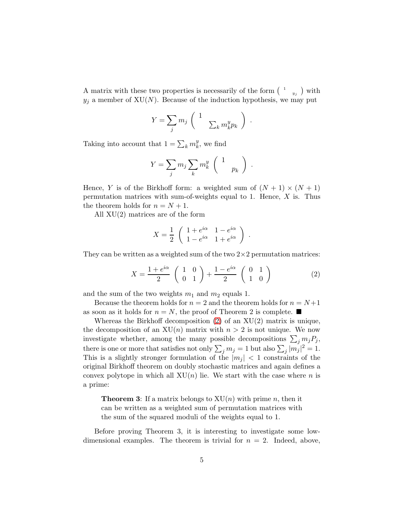A matrix with these two properties is necessarily of the form  $(1)$  $_{y_j}$  ) with  $y_j$  a member of XU(N). Because of the induction hypothesis, we may put

$$
Y = \sum_j m_j \left( \begin{array}{c} 1 \\ & \sum_k m_k^y p_k \end{array} \right) .
$$

Taking into account that  $1 = \sum_k m_k^y$  $\frac{y}{k}$ , we find

$$
Y = \sum_j m_j \sum_k m_k^y \begin{pmatrix} 1 \\ p_k \end{pmatrix}.
$$

Hence, Y is of the Birkhoff form: a weighted sum of  $(N + 1) \times (N + 1)$ permutation matrices with sum-of-weights equal to 1. Hence,  $X$  is. Thus the theorem holds for  $n = N + 1$ .

All XU(2) matrices are of the form

$$
X = \frac{1}{2} \begin{pmatrix} 1 + e^{i\alpha} & 1 - e^{i\alpha} \\ 1 - e^{i\alpha} & 1 + e^{i\alpha} \end{pmatrix} .
$$

They can be written as a weighted sum of the two  $2\times 2$  permutation matrices:

<span id="page-4-0"></span>
$$
X = \frac{1 + e^{i\alpha}}{2} \begin{pmatrix} 1 & 0\\ 0 & 1 \end{pmatrix} + \frac{1 - e^{i\alpha}}{2} \begin{pmatrix} 0 & 1\\ 1 & 0 \end{pmatrix}
$$
 (2)

and the sum of the two weights  $m_1$  and  $m_2$  equals 1.

Because the theorem holds for  $n = 2$  and the theorem holds for  $n = N+1$ as soon as it holds for  $n = N$ , the proof of Theorem 2 is complete.

Whereas the Birkhoff decomposition  $(2)$  of an  $XU(2)$  matrix is unique, the decomposition of an  $XU(n)$  matrix with  $n > 2$  is not unique. We now investigate whether, among the many possible decompositions  $\sum_j m_j P_j$ , there is one or more that satisfies not only  $\sum_j m_j = 1$  but also  $\sum_j |m_j|^2 = 1$ . This is a slightly stronger formulation of the  $|m_i| < 1$  constraints of the original Birkhoff theorem on doubly stochastic matrices and again defines a convex polytope in which all  $XU(n)$  lie. We start with the case where n is a prime:

**Theorem 3:** If a matrix belongs to  $XU(n)$  with prime n, then it can be written as a weighted sum of permutation matrices with the sum of the squared moduli of the weights equal to 1.

Before proving Theorem 3, it is interesting to investigate some lowdimensional examples. The theorem is trivial for  $n = 2$ . Indeed, above,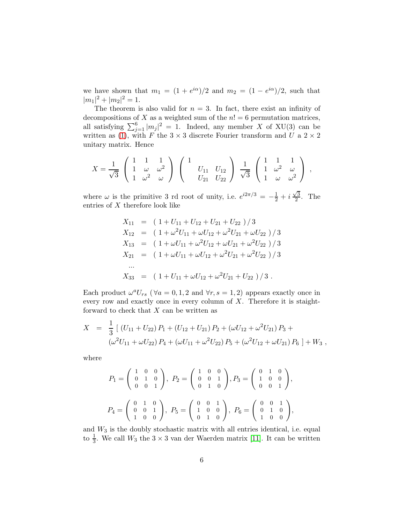we have shown that  $m_1 = (1 + e^{i\alpha})/2$  and  $m_2 = (1 - e^{i\alpha})/2$ , such that  $|m_1|^2 + |m_2|^2 = 1.$ 

The theorem is also valid for  $n = 3$ . In fact, there exist an infinity of decompositions of X as a weighted sum of the  $n! = 6$  permutation matrices, all satisfying  $\sum_{j=1}^6 |m_j|^2 = 1$ . Indeed, any member X of XU(3) can be written as [\(1\)](#page-2-0), with F the  $3 \times 3$  discrete Fourier transform and U a  $2 \times 2$ unitary matrix. Hence

$$
X = \frac{1}{\sqrt{3}} \begin{pmatrix} 1 & 1 & 1 \\ 1 & \omega & \omega^2 \\ 1 & \omega^2 & \omega \end{pmatrix} \begin{pmatrix} 1 & 0 & 0 \\ 0 & U_{11} & U_{12} \\ 0 & U_{21} & U_{22} \end{pmatrix} \frac{1}{\sqrt{3}} \begin{pmatrix} 1 & 1 & 1 \\ 1 & \omega^2 & \omega \\ 1 & \omega & \omega^2 \end{pmatrix} ,
$$

where  $\omega$  is the primitive 3 rd root of unity, i.e.  $e^{i2\pi/3} = -\frac{1}{2} + i\frac{\sqrt{3}}{2}$  $\frac{\sqrt{3}}{2}$ . The entries of  $X$  therefore look like

$$
X_{11} = (1 + U_{11} + U_{12} + U_{21} + U_{22})/3
$$
  
\n
$$
X_{12} = (1 + \omega^2 U_{11} + \omega U_{12} + \omega^2 U_{21} + \omega U_{22})/3
$$
  
\n
$$
X_{13} = (1 + \omega U_{11} + \omega^2 U_{12} + \omega U_{21} + \omega^2 U_{22})/3
$$
  
\n
$$
X_{21} = (1 + \omega U_{11} + \omega U_{12} + \omega^2 U_{21} + \omega^2 U_{22})/3
$$
  
\n...  
\n
$$
X_{33} = (1 + U_{11} + \omega U_{12} + \omega^2 U_{21} + U_{22})/3.
$$

Each product  $\omega^a U_{rs}$  ( $\forall a = 0, 1, 2$  and  $\forall r, s = 1, 2$ ) appears exactly once in every row and exactly once in every column of  $X$ . Therefore it is staightforward to check that  $X$  can be written as

$$
X = \frac{1}{3} [(U_{11} + U_{22}) P_1 + (U_{12} + U_{21}) P_2 + (\omega U_{12} + \omega^2 U_{21}) P_3 + (\omega^2 U_{11} + \omega U_{22}) P_4 + (\omega U_{11} + \omega^2 U_{22}) P_5 + (\omega^2 U_{12} + \omega U_{21}) P_6] + W_3,
$$

where

$$
P_1 = \begin{pmatrix} 1 & 0 & 0 \\ 0 & 1 & 0 \\ 0 & 0 & 1 \end{pmatrix}, P_2 = \begin{pmatrix} 1 & 0 & 0 \\ 0 & 0 & 1 \\ 0 & 1 & 0 \end{pmatrix}, P_3 = \begin{pmatrix} 0 & 1 & 0 \\ 1 & 0 & 0 \\ 0 & 0 & 1 \end{pmatrix},
$$
  

$$
P_4 = \begin{pmatrix} 0 & 1 & 0 \\ 0 & 0 & 1 \\ 1 & 0 & 0 \end{pmatrix}, P_5 = \begin{pmatrix} 0 & 0 & 1 \\ 1 & 0 & 0 \\ 0 & 1 & 0 \end{pmatrix}, P_6 = \begin{pmatrix} 0 & 0 & 1 \\ 0 & 1 & 0 \\ 1 & 0 & 0 \end{pmatrix},
$$

and  $W_3$  is the doubly stochastic matrix with all entries identical, i.e. equal to  $\frac{1}{3}$ . We call  $W_3$  the  $3 \times 3$  van der Waerden matrix [\[11\]](#page-12-8). It can be written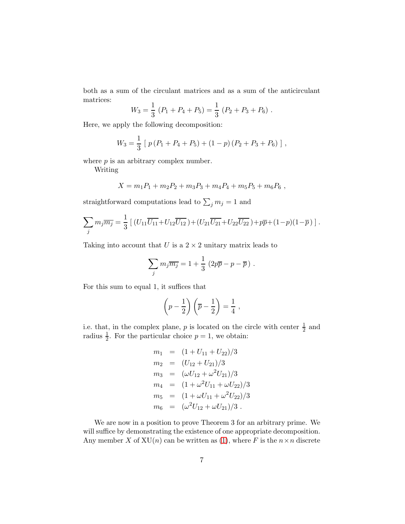both as a sum of the circulant matrices and as a sum of the anticirculant matrices:

$$
W_3 = \frac{1}{3} (P_1 + P_4 + P_5) = \frac{1}{3} (P_2 + P_3 + P_6).
$$

Here, we apply the following decomposition:

$$
W_3 = \frac{1}{3} [ p (P_1 + P_4 + P_5) + (1 - p) (P_2 + P_3 + P_6) ],
$$

where  $p$  is an arbitrary complex number.

Writing

$$
X = m_1 P_1 + m_2 P_2 + m_3 P_3 + m_4 P_4 + m_5 P_5 + m_6 P_6,
$$

straightforward computations lead to  $\sum_j m_j = 1$  and

$$
\sum_j m_j \overline{m_j} = \frac{1}{3} \left[ (U_{11} \overline{U_{11}} + U_{12} \overline{U_{12}}) + (U_{21} \overline{U_{21}} + U_{22} \overline{U_{22}}) + p \overline{p} + (1 - p)(1 - \overline{p}) \right].
$$

Taking into account that U is a  $2 \times 2$  unitary matrix leads to

$$
\sum_j m_j \overline{m_j} = 1 + \frac{1}{3} \left( 2p \overline{p} - p - \overline{p} \right) .
$$

For this sum to equal 1, it suffices that

$$
\left(p-\frac{1}{2}\right)\left(\overline{p}-\frac{1}{2}\right)=\frac{1}{4},
$$

i.e. that, in the complex plane, p is located on the circle with center  $\frac{1}{2}$  and radius  $\frac{1}{2}$ . For the particular choice  $p = 1$ , we obtain:

$$
m_1 = (1 + U_{11} + U_{22})/3
$$
  
\n
$$
m_2 = (U_{12} + U_{21})/3
$$
  
\n
$$
m_3 = (\omega U_{12} + \omega^2 U_{21})/3
$$
  
\n
$$
m_4 = (1 + \omega^2 U_{11} + \omega U_{22})/3
$$
  
\n
$$
m_5 = (1 + \omega U_{11} + \omega^2 U_{22})/3
$$
  
\n
$$
m_6 = (\omega^2 U_{12} + \omega U_{21})/3.
$$

We are now in a position to prove Theorem 3 for an arbitrary prime. We will suffice by demonstrating the existence of one appropriate decomposition. Any member X of  $XU(n)$  can be written as [\(1\)](#page-2-0), where F is the  $n \times n$  discrete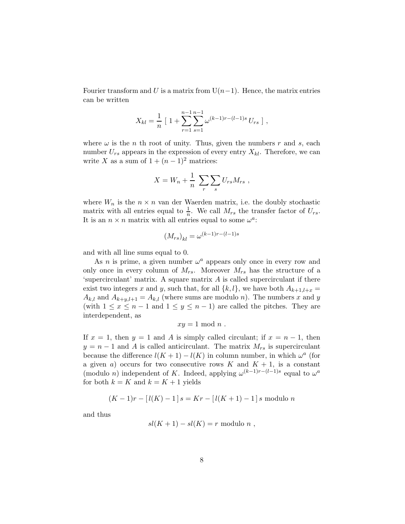Fourier transform and U is a matrix from  $U(n-1)$ . Hence, the matrix entries can be written

$$
X_{kl} = \frac{1}{n} \left[ 1 + \sum_{r=1}^{n-1} \sum_{s=1}^{n-1} \omega^{(k-1)r - (l-1)s} U_{rs} \right],
$$

where  $\omega$  is the *n* th root of unity. Thus, given the numbers *r* and *s*, each number  $U_{rs}$  appears in the expression of every entry  $X_{kl}$ . Therefore, we can write X as a sum of  $1 + (n-1)^2$  matrices:

$$
X = W_n + \frac{1}{n} \sum_{r} \sum_{s} U_{rs} M_{rs} ,
$$

where  $W_n$  is the  $n \times n$  van der Waerden matrix, i.e. the doubly stochastic matrix with all entries equal to  $\frac{1}{n}$ . We call  $M_{rs}$  the transfer factor of  $U_{rs}$ . It is an  $n \times n$  matrix with all entries equal to some  $\omega^a$ :

$$
(M_{rs})_{kl} = \omega^{(k-1)r - (l-1)s}
$$

and with all line sums equal to 0.

As *n* is prime, a given number  $\omega^a$  appears only once in every row and only once in every column of  $M_{rs}$ . Moreover  $M_{rs}$  has the structure of a 'supercirculant' matrix. A square matrix A is called supercirculant if there exist two integers x and y, such that, for all  $\{k, l\}$ , we have both  $A_{k+1,l+x}$  $A_{k,l}$  and  $A_{k+y,l+1} = A_{k,l}$  (where sums are modulo n). The numbers x and y (with  $1 \leq x \leq n-1$  and  $1 \leq y \leq n-1$ ) are called the pitches. They are interdependent, as

$$
xy = 1 \mod n .
$$

If  $x = 1$ , then  $y = 1$  and A is simply called circulant; if  $x = n - 1$ , then  $y = n - 1$  and A is called anticirculant. The matrix  $M_{rs}$  is supercirculant because the difference  $l(K + 1) - l(K)$  in column number, in which  $\omega^a$  (for a given a) occurs for two consecutive rows K and  $K + 1$ , is a constant (modulo *n*) independent of K. Indeed, applying  $\omega^{(k-1)r-(l-1)s}$  equal to  $\omega^a$ for both  $k = K$  and  $k = K + 1$  yields

$$
(K-1)r - [l(K)-1] s = Kr - [l(K+1)-1] s
$$
 modulo n

and thus

$$
sl(K+1)-sl(K)=r \text{ modulo } n ,
$$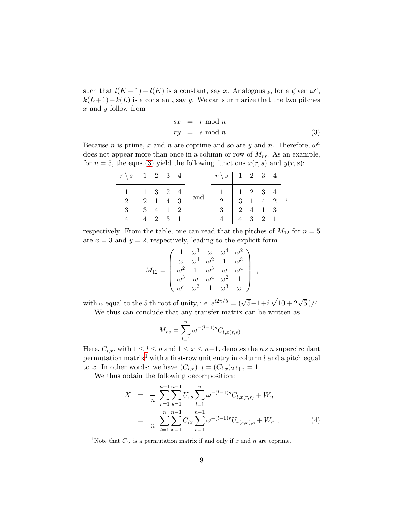such that  $l(K + 1) - l(K)$  is a constant, say x. Analogously, for a given  $\omega^a$ ,  $k(L+1)-k(L)$  is a constant, say y. We can summarize that the two pitches  $x$  and  $y$  follow from

<span id="page-8-0"></span>
$$
sx = r \mod n
$$
  
\n
$$
ry = s \mod n
$$
 (3)

Because *n* is prime, x and *n* are coprime and so are y and *n*. Therefore,  $\omega^a$ does not appear more than once in a column or row of  $M_{rs}$ . As an example, for  $n = 5$ , the eqns [\(3\)](#page-8-0) yield the following functions  $x(r, s)$  and  $y(r, s)$ :

| $r \setminus s$ 1 2 3 4         |  |  |                                                                                 | $r \setminus s$ 1 2 3 4                                                       |  |  |  |
|---------------------------------|--|--|---------------------------------------------------------------------------------|-------------------------------------------------------------------------------|--|--|--|
|                                 |  |  | $\begin{array}{c cccc}\n1 & 1 & 3 & 2 & 4 \\ 2 & 1 & 4 & 3 & \n\end{array}$ and | $\begin{array}{c cccc}\n1 & 1 & 2 & 3 & 4 \\ 2 & 3 & 1 & 4 & 2\n\end{array},$ |  |  |  |
|                                 |  |  |                                                                                 |                                                                               |  |  |  |
| $3 \t 3 \t 4 \t 1 \t 2$         |  |  |                                                                                 | $3 \t 2 \t 4 \t 1 \t 3$                                                       |  |  |  |
| $4 \mid 4 \mid 2 \mid 3 \mid 1$ |  |  |                                                                                 | $4 \mid 4 \mid 3 \mid 2 \mid 1$                                               |  |  |  |

respectively. From the table, one can read that the pitches of  $M_{12}$  for  $n = 5$ are  $x = 3$  and  $y = 2$ , respectively, leading to the explicit form

$$
M_{12} = \begin{pmatrix} 1 & \omega^3 & \omega & \omega^4 & \omega^2 \\ \omega & \omega^4 & \omega^2 & 1 & \omega^3 \\ \omega^2 & 1 & \omega^3 & \omega & \omega^4 \\ \omega^3 & \omega & \omega^4 & \omega^2 & 1 \\ \omega^4 & \omega^2 & 1 & \omega^3 & \omega \end{pmatrix},
$$

with  $\omega$  equal to the 5 th root of unity, i.e.  $e^{i2\pi/5} = (\sqrt{5} - 1 + i\sqrt{10 + 2\sqrt{5}})/4$ . We thus can conclude that any transfer matrix can be written as

$$
M_{rs} = \sum_{l=1}^{n} \omega^{-(l-1)s} C_{l,x(r,s)}
$$

Here,  $C_{l,x}$ , with  $1 \leq l \leq n$  and  $1 \leq x \leq n-1$ , denotes the  $n \times n$  supercirculant permutation matrix<sup>[1](#page-8-1)</sup> with a first-row unit entry in column  $l$  and a pitch equal to x. In other words: we have  $(C_{l,x})_{1,l} = (C_{l,x})_{2,l+x} = 1.$ 

We thus obtain the following decomposition:

<span id="page-8-2"></span>
$$
X = \frac{1}{n} \sum_{r=1}^{n-1} \sum_{s=1}^{n-1} U_{rs} \sum_{l=1}^{n} \omega^{-(l-1)s} C_{l,x(r,s)} + W_n
$$
  

$$
= \frac{1}{n} \sum_{l=1}^{n} \sum_{x=1}^{n-1} C_{lx} \sum_{s=1}^{n-1} \omega^{-(l-1)s} U_{r(s,x),s} + W_n , \qquad (4)
$$

.

<span id="page-8-1"></span><sup>1</sup>Note that  $C_{lx}$  is a permutation matrix if and only if x and n are coprime.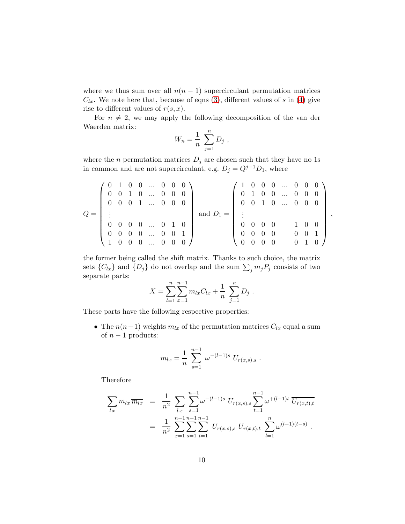where we thus sum over all  $n(n - 1)$  supercirculant permutation matrices  $C_{lx}$ . We note here that, because of eqns [\(3\)](#page-8-0), different values of s in [\(4\)](#page-8-2) give rise to different values of  $r(s, x)$ .

For  $n \neq 2$ , we may apply the following decomposition of the van der Waerden matrix:

$$
W_n = \frac{1}{n} \sum_{j=1}^n D_j ,
$$

where the n permutation matrices  $D_j$  are chosen such that they have no 1s in common and are not supercirculant, e.g.  $D_j = Q^{j-1}D_1$ , where

$$
Q = \left(\begin{array}{cccccc} 0 & 1 & 0 & 0 & \dots & 0 & 0 & 0 \\ 0 & 0 & 1 & 0 & \dots & 0 & 0 & 0 \\ 0 & 0 & 0 & 1 & \dots & 0 & 0 & 0 \\ \vdots & & & & & & \\ 0 & 0 & 0 & 0 & \dots & 0 & 1 & 0 \\ 0 & 0 & 0 & 0 & \dots & 0 & 0 & 1 \\ 1 & 0 & 0 & 0 & \dots & 0 & 0 & 0 \end{array}\right) \text{ and } D_1 = \left(\begin{array}{cccccc} 1 & 0 & 0 & 0 & \dots & 0 & 0 & 0 \\ 0 & 1 & 0 & 0 & \dots & 0 & 0 & 0 \\ 0 & 0 & 1 & 0 & \dots & 0 & 0 & 0 \\ \vdots & & & & & & \\ 0 & 0 & 0 & 0 & & 1 & 0 & 0 \\ 0 & 0 & 0 & 0 & & 0 & 1 & 0 \end{array}\right)
$$

,

the former being called the shift matrix. Thanks to such choice, the matrix sets  $\{C_{lx}\}$  and  $\{D_j\}$  do not overlap and the sum  $\sum_j m_j P_j$  consists of two separate parts:

$$
X = \sum_{l=1}^{n} \sum_{x=1}^{n-1} m_{lx} C_{lx} + \frac{1}{n} \sum_{j=1}^{n} D_j.
$$

These parts have the following respective properties:

• The  $n(n-1)$  weights  $m_{lx}$  of the permutation matrices  $C_{lx}$  equal a sum of  $n-1$  products:

$$
m_{lx} = \frac{1}{n} \sum_{s=1}^{n-1} \omega^{-(l-1)s} U_{r(x,s),s}.
$$

Therefore

$$
\sum_{lx} m_{lx} \overline{m_{lx}} = \frac{1}{n^2} \sum_{lx} \sum_{s=1}^{n-1} \omega^{-(l-1)s} U_{r(x,s),s} \sum_{t=1}^{n-1} \omega^{+(l-1)t} \overline{U_{r(x,t),t}}
$$
  

$$
= \frac{1}{n^2} \sum_{x=1}^{n-1} \sum_{s=1}^{n-1} \sum_{t=1}^{n-1} U_{r(x,s),s} \overline{U_{r(x,t),t}} \sum_{l=1}^{n} \omega^{(l-1)(t-s)}.
$$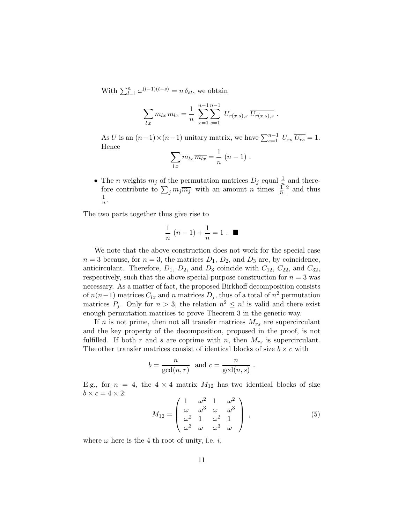With  $\sum_{l=1}^{n} \omega^{(l-1)(t-s)} = n \delta_{st}$ , we obtain

$$
\sum_{lx} m_{lx} \overline{m_{lx}} = \frac{1}{n} \sum_{x=1}^{n-1} \sum_{s=1}^{n-1} U_{r(x,s),s} \overline{U_{r(x,s),s}}.
$$

As U is an  $(n-1) \times (n-1)$  unitary matrix, we have  $\sum_{s=1}^{n-1} U_{rs} \overline{U_{rs}} = 1$ . Hence

$$
\sum_{lx} m_{lx} \overline{m_{lx}} = \frac{1}{n} (n-1) .
$$

• The *n* weights  $m_j$  of the permutation matrices  $D_j$  equal  $\frac{1}{n}$  and therefore contribute to  $\sum_j m_j \overline{m_j}$  with an amount n times  $|\frac{1}{n}|$  $\frac{1}{n}|^2$  and thus 1  $\frac{1}{n}$ .

The two parts together thus give rise to

$$
\frac{1}{n}(n-1)+\frac{1}{n}=1
$$
.

We note that the above construction does not work for the special case  $n = 3$  because, for  $n = 3$ , the matrices  $D_1, D_2$ , and  $D_3$  are, by coincidence, anticirculant. Therefore,  $D_1$ ,  $D_2$ , and  $D_3$  coincide with  $C_{12}$ ,  $C_{22}$ , and  $C_{32}$ , respectively, such that the above special-purpose construction for  $n = 3$  was necessary. As a matter of fact, the proposed Birkhoff decomposition consists of  $n(n-1)$  matrices  $C_{lx}$  and n matrices  $D_j$ , thus of a total of  $n^2$  permutation matrices  $P_j$ . Only for  $n > 3$ , the relation  $n^2 \leq n!$  is valid and there exist enough permutation matrices to prove Theorem 3 in the generic way.

If n is not prime, then not all transfer matrices  $M_{rs}$  are supercirculant and the key property of the decomposition, proposed in the proof, is not fulfilled. If both r and s are coprime with n, then  $M_{rs}$  is supercirculant. The other transfer matrices consist of identical blocks of size  $b \times c$  with

$$
b = \frac{n}{\gcd(n,r)}
$$
 and  $c = \frac{n}{\gcd(n,s)}$ .

E.g., for  $n = 4$ , the  $4 \times 4$  matrix  $M_{12}$  has two identical blocks of size  $b \times c = 4 \times 2$ :

$$
M_{12} = \begin{pmatrix} 1 & \omega^2 & 1 & \omega^2 \\ \omega & \omega^3 & \omega & \omega^3 \\ \omega^2 & 1 & \omega^2 & 1 \\ \omega^3 & \omega & \omega^3 & \omega \end{pmatrix}, \qquad (5)
$$

where  $\omega$  here is the 4 th root of unity, i.e. *i*.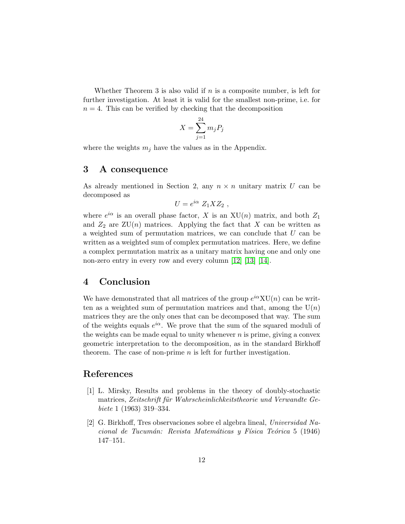Whether Theorem 3 is also valid if  $n$  is a composite number, is left for further investigation. At least it is valid for the smallest non-prime, i.e. for  $n = 4$ . This can be verified by checking that the decomposition

$$
X = \sum_{j=1}^{24} m_j P_j
$$

where the weights  $m_j$  have the values as in the Appendix.

#### 3 A consequence

As already mentioned in Section 2, any  $n \times n$  unitary matrix U can be decomposed as

$$
U=e^{i\alpha} Z_1 X Z_2 ,
$$

where  $e^{i\alpha}$  is an overall phase factor, X is an  $XU(n)$  matrix, and both  $Z_1$ and  $Z_2$  are  $ZU(n)$  matrices. Applying the fact that X can be written as a weighted sum of permutation matrices, we can conclude that  $U$  can be written as a weighted sum of complex permutation matrices. Here, we define a complex permutation matrix as a unitary matrix having one and only one non-zero entry in every row and every column [\[12\]](#page-12-9) [\[13\]](#page-12-10) [\[14\]](#page-12-11).

### 4 Conclusion

We have demonstrated that all matrices of the group  $e^{i\alpha}XU(n)$  can be written as a weighted sum of permutation matrices and that, among the  $U(n)$ matrices they are the only ones that can be decomposed that way. The sum of the weights equals  $e^{i\alpha}$ . We prove that the sum of the squared moduli of the weights can be made equal to unity whenever  $n$  is prime, giving a convex geometric interpretation to the decomposition, as in the standard Birkhoff theorem. The case of non-prime  $n$  is left for further investigation.

#### <span id="page-11-0"></span>References

- [1] L. Mirsky, Results and problems in the theory of doubly-stochastic matrices, Zeitschrift für Wahrscheinlichkeitstheorie und Verwandte Gebiete 1 (1963) 319–334.
- <span id="page-11-1"></span>[2] G. Birkhoff, Tres observaciones sobre el algebra lineal, Universidad Nacional de Tucumán: Revista Matemáticas y Física Teórica 5 (1946) 147–151.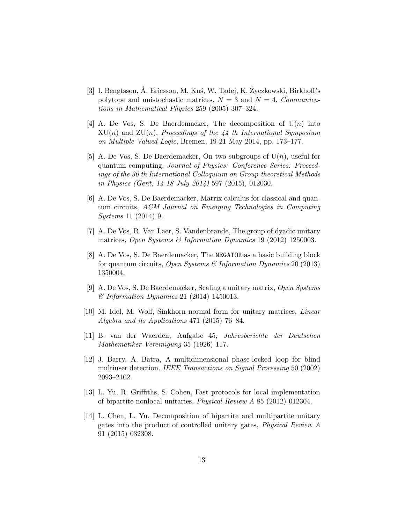- <span id="page-12-0"></span>[3] I. Bengtsson, Å. Ericsson, M. Kus, W. Tadej, K.  $\dot{Z}$ yczkowski, Birkhoff's polytope and unistochastic matrices,  $N = 3$  and  $N = 4$ , *Communica*tions in Mathematical Physics 259 (2005) 307–324.
- <span id="page-12-1"></span>[4] A. De Vos, S. De Baerdemacker, The decomposition of  $U(n)$  into  $XU(n)$  and  $ZU(n)$ , Proceedings of the 44 th International Symposium on Multiple-Valued Logic, Bremen, 19-21 May 2014, pp. 173–177.
- <span id="page-12-2"></span>[5] A. De Vos, S. De Baerdemacker, On two subgroups of  $U(n)$ , useful for quantum computing, Journal of Physics: Conference Series: Proceedings of the 30 th International Colloquium on Group-theoretical Methods in Physics (Gent, 14-18 July 2014) 597 (2015), 012030.
- <span id="page-12-3"></span>[6] A. De Vos, S. De Baerdemacker, Matrix calculus for classical and quantum circuits, ACM Journal on Emerging Technologies in Computing Systems 11 (2014) 9.
- <span id="page-12-4"></span>[7] A. De Vos, R. Van Laer, S. Vandenbrande, The group of dyadic unitary matrices, Open Systems & Information Dynamics 19 (2012) 1250003.
- <span id="page-12-5"></span>[8] A. De Vos, S. De Baerdemacker, The NEGATOR as a basic building block for quantum circuits, Open Systems & Information Dynamics 20 (2013) 1350004.
- <span id="page-12-7"></span><span id="page-12-6"></span>[9] A. De Vos, S. De Baerdemacker, Scaling a unitary matrix, Open Systems & Information Dynamics 21 (2014) 1450013.
- [10] M. Idel, M. Wolf, Sinkhorn normal form for unitary matrices, Linear Algebra and its Applications 471 (2015) 76–84.
- <span id="page-12-8"></span>[11] B. van der Waerden, Aufgabe 45, Jahresberichte der Deutschen Mathematiker-Vereinigung 35 (1926) 117.
- <span id="page-12-9"></span>[12] J. Barry, A. Batra, A multidimensional phase-locked loop for blind multiuser detection, IEEE Transactions on Signal Processing 50 (2002) 2093–2102.
- <span id="page-12-10"></span>[13] L. Yu, R. Griffiths, S. Cohen, Fast protocols for local implementation of bipartite nonlocal unitaries, Physical Review A 85 (2012) 012304.
- <span id="page-12-11"></span>[14] L. Chen, L. Yu, Decomposition of bipartite and multipartite unitary gates into the product of controlled unitary gates, Physical Review A 91 (2015) 032308.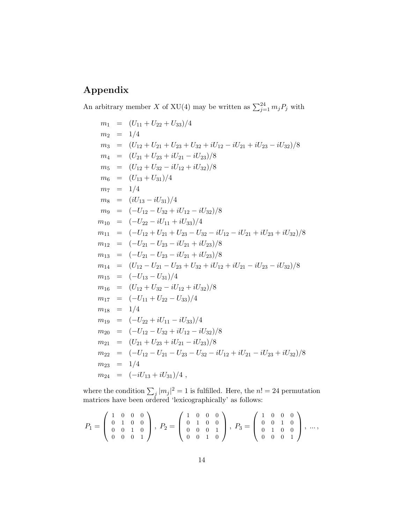# Appendix

An arbitrary member X of XU(4) may be written as  $\sum_{j=1}^{24} m_j P_j$  with

 $m_1 = (U_{11} + U_{22} + U_{33})/4$  $m_2 = 1/4$  $m_3 = (U_{12} + U_{21} + U_{23} + U_{32} + iU_{12} - iU_{21} + iU_{23} - iU_{32})/8$  $m_4 = (U_{21} + U_{23} + iU_{21} - iU_{23})/8$  $m_5 = (U_{12} + U_{32} - iU_{12} + iU_{32})/8$  $m_6 = (U_{13} + U_{31})/4$  $m_7 = 1/4$  $m_8 = (iU_{13} - iU_{31})/4$  $m_9 = (-U_{12} - U_{32} + iU_{12} - iU_{32})/8$  $m_{10} = (-U_{22} - iU_{11} + iU_{33})/4$  $m_{11} = (-U_{12} + U_{21} + U_{23} - U_{32} - iU_{12} - iU_{21} + iU_{23} + iU_{32})/8$  $m_{12} = (-U_{21} - U_{23} - iU_{21} + iU_{23})/8$  $m_{13} = (-U_{21} - U_{23} - iU_{21} + iU_{23})/8$  $m_{14} = (U_{12} - U_{21} - U_{23} + U_{32} + iU_{12} + iU_{21} - iU_{23} - iU_{32})/8$  $m_{15} = (-U_{13} - U_{31})/4$  $m_{16} = (U_{12} + U_{32} - iU_{12} + iU_{32})/8$  $m_{17} = (-U_{11} + U_{22} - U_{33})/4$  $m_{18}$  = 1/4  $m_{19} = (-U_{22} + iU_{11} - iU_{33})/4$  $m_{20} = (-U_{12} - U_{32} + iU_{12} - iU_{32})/8$  $m_{21} = (U_{21} + U_{23} + iU_{21} - iU_{23})/8$  $m_{22} = (-U_{12} - U_{21} - U_{23} - U_{32} - iU_{12} + iU_{21} - iU_{23} + iU_{32})/8$  $m_{23} = 1/4$  $m_{24} = (-iU_{13} + iU_{31})/4$ ,

where the condition  $\sum_j |m_j|^2 = 1$  is fulfilled. Here, the  $n! = 24$  permutation matrices have been ordered 'lexicographically' as follows:

$$
P_1 = \left(\begin{array}{rrr} 1 & 0 & 0 & 0 \\ 0 & 1 & 0 & 0 \\ 0 & 0 & 1 & 0 \\ 0 & 0 & 0 & 1 \end{array}\right), P_2 = \left(\begin{array}{rrr} 1 & 0 & 0 & 0 \\ 0 & 1 & 0 & 0 \\ 0 & 0 & 0 & 1 \\ 0 & 0 & 1 & 0 \end{array}\right), P_3 = \left(\begin{array}{rrr} 1 & 0 & 0 & 0 \\ 0 & 0 & 1 & 0 \\ 0 & 1 & 0 & 0 \\ 0 & 0 & 0 & 1 \end{array}\right), \dots,
$$